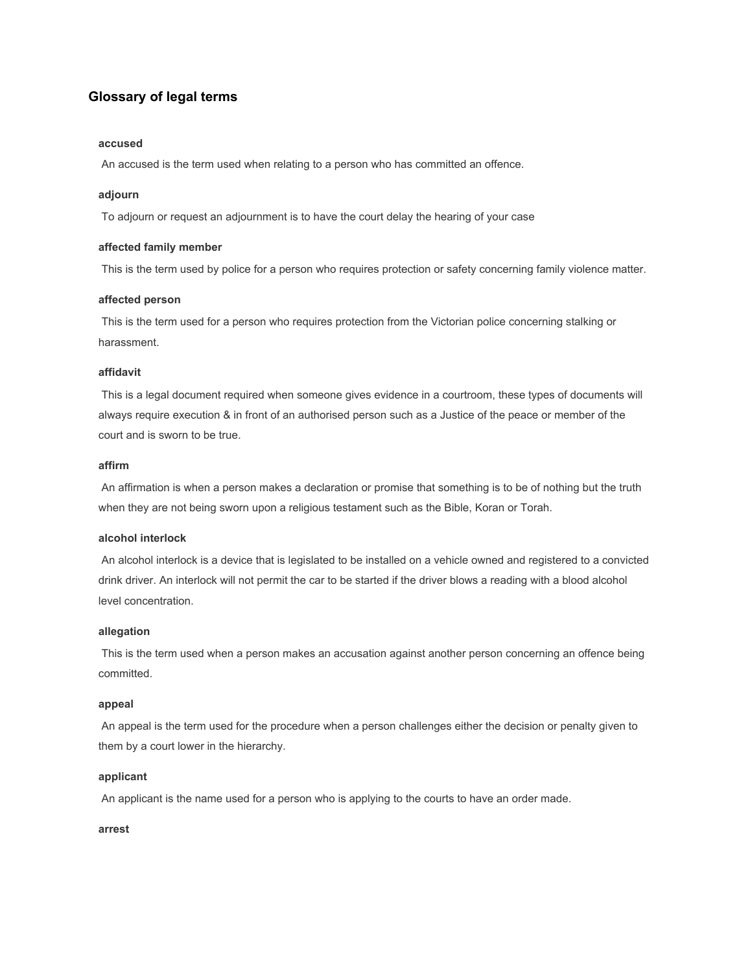#### **Glossary of legal terms**

#### **accused**

An accused is the term used when relating to a person who has committed an offence.

#### **adjourn**

To adjourn or request an adjournment is to have the court delay the hearing of your case

#### **affected family member**

This is the term used by police for a person who requires protection or safety concerning family violence matter.

#### **affected person**

 This is the term used for a person who requires protection from the Victorian police concerning stalking or harassment.

#### **affidavit**

 This is a legal document required when someone gives evidence in a courtroom, these types of documents will always require execution & in front of an authorised person such as a Justice of the peace or member of the court and is sworn to be true.

#### **affirm**

 An affirmation is when a person makes a declaration or promise that something is to be of nothing but the truth when they are not being sworn upon a religious testament such as the Bible, Koran or Torah.

#### **alcohol interlock**

 An alcohol interlock is a device that is legislated to be installed on a vehicle owned and registered to a convicted drink driver. An interlock will not permit the car to be started if the driver blows a reading with a blood alcohol level concentration.

#### **allegation**

 This is the term used when a person makes an accusation against another person concerning an offence being committed.

#### **appeal**

 An appeal is the term used for the procedure when a person challenges either the decision or penalty given to them by a court lower in the hierarchy.

#### **applicant**

An applicant is the name used for a person who is applying to the courts to have an order made.

#### **arrest**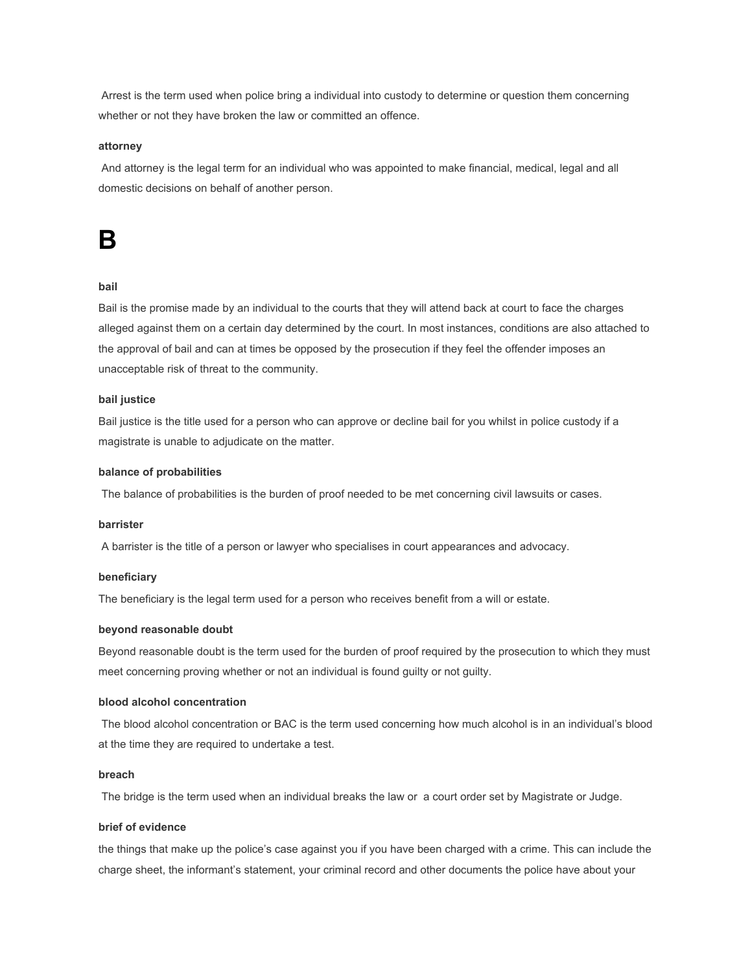Arrest is the term used when police bring a individual into custody to determine or question them concerning whether or not they have broken the law or committed an offence.

#### **attorney**

 And attorney is the legal term for an individual who was appointed to make financial, medical, legal and all domestic decisions on behalf of another person.

### **B**

#### **bail**

Bail is the promise made by an individual to the courts that they will attend back at court to face the charges alleged against them on a certain day determined by the court. In most instances, conditions are also attached to the approval of bail and can at times be opposed by the prosecution if they feel the offender imposes an unacceptable risk of threat to the community.

#### **bail justice**

Bail justice is the title used for a person who can approve or decline bail for you whilst in police custody if a magistrate is unable to adjudicate on the matter.

#### **balance of probabilities**

The balance of probabilities is the burden of proof needed to be met concerning civil lawsuits or cases.

#### **barrister**

A barrister is the title of a person or lawyer who specialises in court appearances and advocacy.

#### **beneficiary**

The beneficiary is the legal term used for a person who receives benefit from a will or estate.

#### **beyond reasonable doubt**

Beyond reasonable doubt is the term used for the burden of proof required by the prosecution to which they must meet concerning proving whether or not an individual is found guilty or not guilty.

#### **blood alcohol concentration**

 The blood alcohol concentration or BAC is the term used concerning how much alcohol is in an individual's blood at the time they are required to undertake a test.

#### **breach**

The bridge is the term used when an individual breaks the law or a court order set by Magistrate or Judge.

#### **brief of evidence**

the things that make up the police's case against you if you have been charged with a crime. This can include the charge sheet, the informant's statement, your criminal record and other documents the police have about your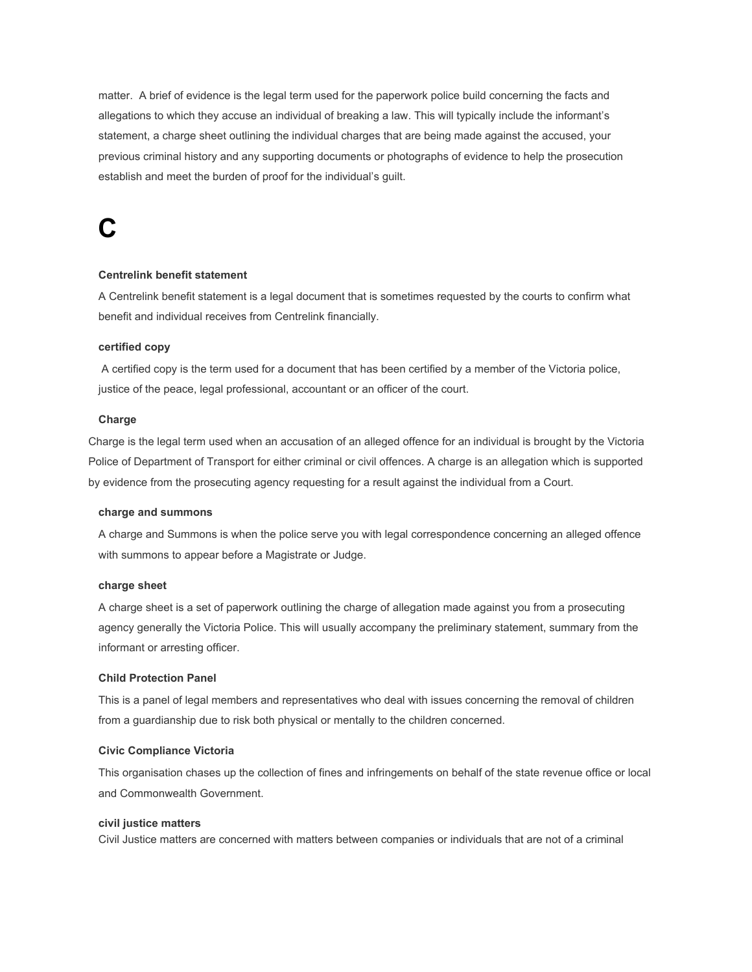matter. A brief of evidence is the legal term used for the paperwork police build concerning the facts and allegations to which they accuse an individual of breaking a law. This will typically include the informant's statement, a charge sheet outlining the individual charges that are being made against the accused, your previous criminal history and any supporting documents or photographs of evidence to help the prosecution establish and meet the burden of proof for the individual's guilt.

## **C**

#### **Centrelink benefit statement**

A Centrelink benefit statement is a legal document that is sometimes requested by the courts to confirm what benefit and individual receives from Centrelink financially.

#### **certified copy**

 A certified copy is the term used for a document that has been certified by a member of the Victoria police, justice of the peace, legal professional, accountant or an officer of the court.

#### **Charge**

Charge is the legal term used when an accusation of an alleged offence for an individual is brought by the Victoria Police of Department of Transport for either criminal or civil offences. A charge is an allegation which is supported by evidence from the prosecuting agency requesting for a result against the individual from a Court.

#### **charge and summons**

A charge and Summons is when the police serve you with legal correspondence concerning an alleged offence with summons to appear before a Magistrate or Judge.

#### **charge sheet**

A charge sheet is a set of paperwork outlining the charge of allegation made against you from a prosecuting agency generally the Victoria Police. This will usually accompany the preliminary statement, summary from the informant or arresting officer.

#### **Child Protection Panel**

This is a panel of legal members and representatives who deal with issues concerning the removal of children from a guardianship due to risk both physical or mentally to the children concerned.

#### **Civic Compliance Victoria**

This organisation chases up the collection of fines and infringements on behalf of the state revenue office or local and Commonwealth Government.

#### **civil justice matters**

Civil Justice matters are concerned with matters between companies or individuals that are not of a criminal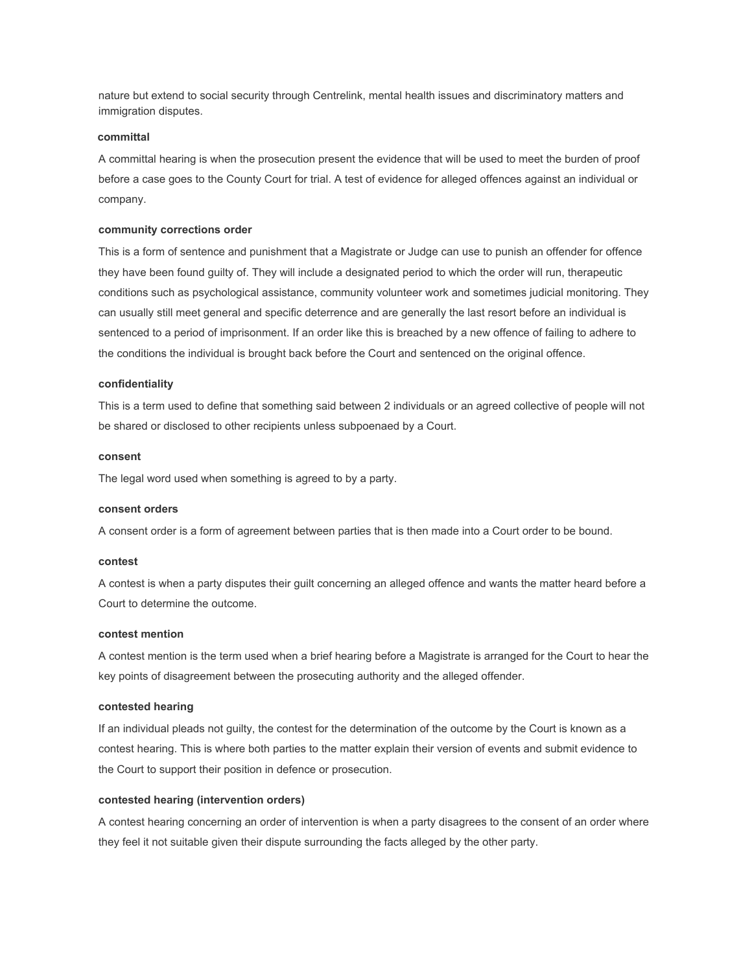nature but extend to social security through Centrelink, mental health issues and discriminatory matters and immigration disputes.

#### **committal**

A committal hearing is when the prosecution present the evidence that will be used to meet the burden of proof before a case goes to the County Court for trial. A test of evidence for alleged offences against an individual or company.

#### **community corrections order**

This is a form of sentence and punishment that a Magistrate or Judge can use to punish an offender for offence they have been found guilty of. They will include a designated period to which the order will run, therapeutic conditions such as psychological assistance, community volunteer work and sometimes judicial monitoring. They can usually still meet general and specific deterrence and are generally the last resort before an individual is sentenced to a period of imprisonment. If an order like this is breached by a new offence of failing to adhere to the conditions the individual is brought back before the Court and sentenced on the original offence.

#### **confidentiality**

This is a term used to define that something said between 2 individuals or an agreed collective of people will not be shared or disclosed to other recipients unless subpoenaed by a Court.

#### **consent**

The legal word used when something is agreed to by a party.

#### **consent orders**

A consent order is a form of agreement between parties that is then made into a Court order to be bound.

#### **contest**

A contest is when a party disputes their guilt concerning an alleged offence and wants the matter heard before a Court to determine the outcome.

#### **contest mention**

A contest mention is the term used when a brief hearing before a Magistrate is arranged for the Court to hear the key points of disagreement between the prosecuting authority and the alleged offender.

#### **contested hearing**

If an individual pleads not guilty, the contest for the determination of the outcome by the Court is known as a contest hearing. This is where both parties to the matter explain their version of events and submit evidence to the Court to support their position in defence or prosecution.

#### **contested hearing (intervention orders)**

A contest hearing concerning an order of intervention is when a party disagrees to the consent of an order where they feel it not suitable given their dispute surrounding the facts alleged by the other party.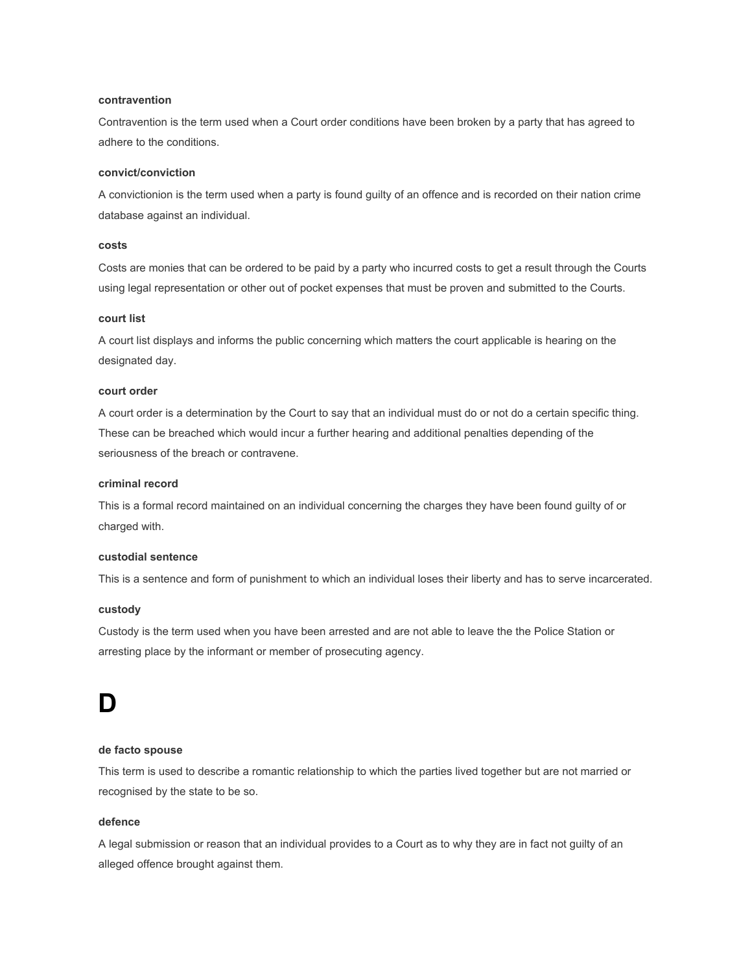#### **contravention**

Contravention is the term used when a Court order conditions have been broken by a party that has agreed to adhere to the conditions.

#### **convict/conviction**

A convictionion is the term used when a party is found guilty of an offence and is recorded on their nation crime database against an individual.

#### **costs**

Costs are monies that can be ordered to be paid by a party who incurred costs to get a result through the Courts using legal representation or other out of pocket expenses that must be proven and submitted to the Courts.

#### **court list**

A court list displays and informs the public concerning which matters the court applicable is hearing on the designated day.

#### **court order**

A court order is a determination by the Court to say that an individual must do or not do a certain specific thing. These can be breached which would incur a further hearing and additional penalties depending of the seriousness of the breach or contravene.

#### **criminal record**

This is a formal record maintained on an individual concerning the charges they have been found guilty of or charged with.

#### **custodial sentence**

This is a sentence and form of punishment to which an individual loses their liberty and has to serve incarcerated.

#### **custody**

Custody is the term used when you have been arrested and are not able to leave the the Police Station or arresting place by the informant or member of prosecuting agency.

### **D**

#### **de facto spouse**

This term is used to describe a romantic relationship to which the parties lived together but are not married or recognised by the state to be so.

#### **defence**

A legal submission or reason that an individual provides to a Court as to why they are in fact not guilty of an alleged offence brought against them.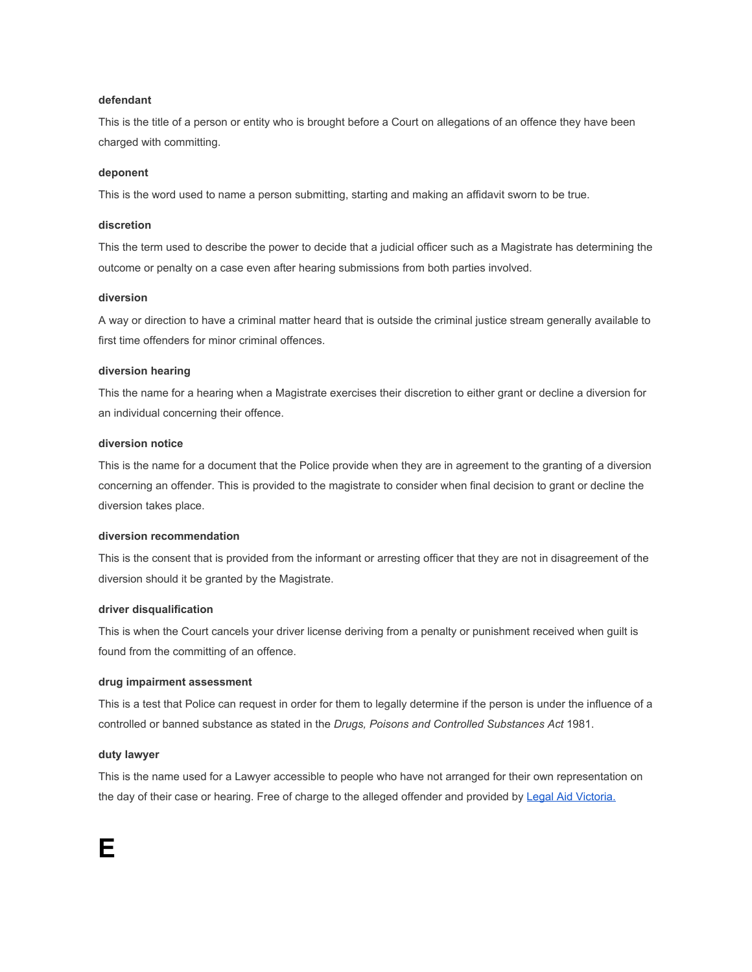#### **defendant**

This is the title of a person or entity who is brought before a Court on allegations of an offence they have been charged with committing.

#### **deponent**

This is the word used to name a person submitting, starting and making an affidavit sworn to be true.

#### **discretion**

This the term used to describe the power to decide that a judicial officer such as a Magistrate has determining the outcome or penalty on a case even after hearing submissions from both parties involved.

#### **diversion**

A way or direction to have a criminal matter heard that is outside the criminal justice stream generally available to first time offenders for minor criminal offences.

#### **diversion hearing**

This the name for a hearing when a Magistrate exercises their discretion to either grant or decline a diversion for an individual concerning their offence.

#### **diversion notice**

This is the name for a document that the Police provide when they are in agreement to the granting of a diversion concerning an offender. This is provided to the magistrate to consider when final decision to grant or decline the diversion takes place.

#### **diversion recommendation**

This is the consent that is provided from the informant or arresting officer that they are not in disagreement of the diversion should it be granted by the Magistrate.

#### **driver disqualification**

This is when the Court cancels your driver license deriving from a penalty or punishment received when guilt is found from the committing of an offence.

#### **drug impairment assessment**

This is a test that Police can request in order for them to legally determine if the person is under the influence of a controlled or banned substance as stated in the *Drugs, Poisons and Controlled Substances Act* 1981.

#### **duty lawyer**

This is the name used for a Lawyer accessible to people who have not arranged for their own representation on the day of their case or hearing. Free of charge to the alleged offender and provided by [Legal Aid Victoria.](https://www.legalaid.vic.gov.au/)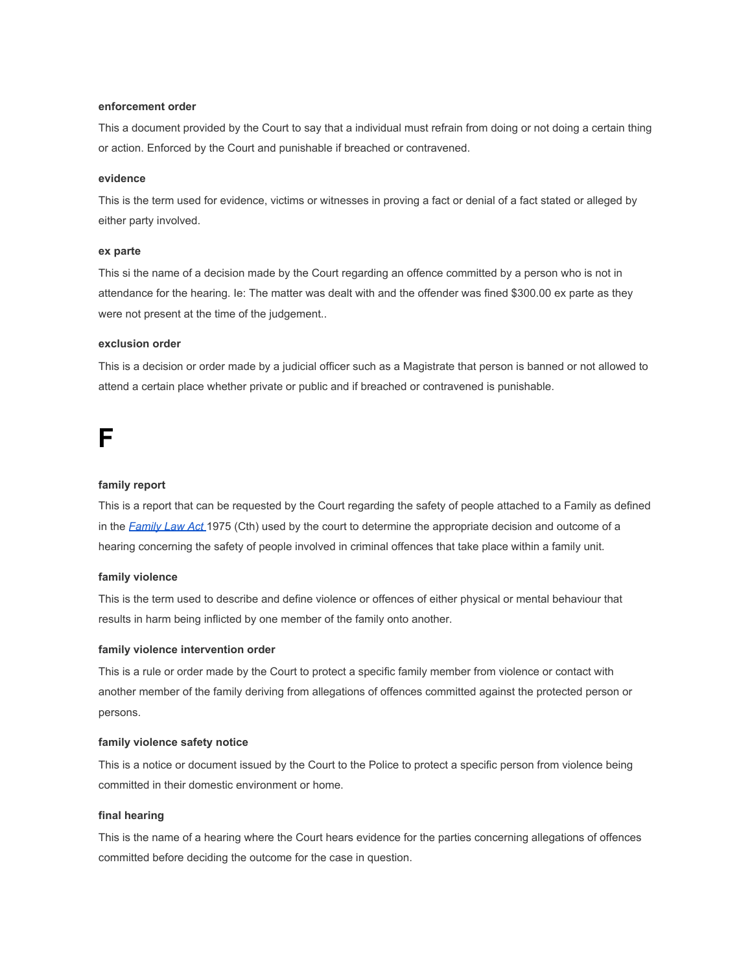#### **enforcement order**

This a document provided by the Court to say that a individual must refrain from doing or not doing a certain thing or action. Enforced by the Court and punishable if breached or contravened.

#### **evidence**

This is the term used for evidence, victims or witnesses in proving a fact or denial of a fact stated or alleged by either party involved.

#### **ex parte**

This si the name of a decision made by the Court regarding an offence committed by a person who is not in attendance for the hearing. Ie: The matter was dealt with and the offender was fined \$300.00 ex parte as they were not present at the time of the judgement..

#### **exclusion order**

This is a decision or order made by a judicial officer such as a Magistrate that person is banned or not allowed to attend a certain place whether private or public and if breached or contravened is punishable.

### **F**

#### **family report**

This is a report that can be requested by the Court regarding the safety of people attached to a Family as defined in the *[Family Law Act](https://www.legislation.gov.au/Details/C2017C00385)* 1975 (Cth) used by the court to determine the appropriate decision and outcome of a hearing concerning the safety of people involved in criminal offences that take place within a family unit.

#### **family violence**

This is the term used to describe and define violence or offences of either physical or mental behaviour that results in harm being inflicted by one member of the family onto another.

#### **family violence intervention order**

This is a rule or order made by the Court to protect a specific family member from violence or contact with another member of the family deriving from allegations of offences committed against the protected person or persons.

#### **family violence safety notice**

This is a notice or document issued by the Court to the Police to protect a specific person from violence being committed in their domestic environment or home.

#### **final hearing**

This is the name of a hearing where the Court hears evidence for the parties concerning allegations of offences committed before deciding the outcome for the case in question.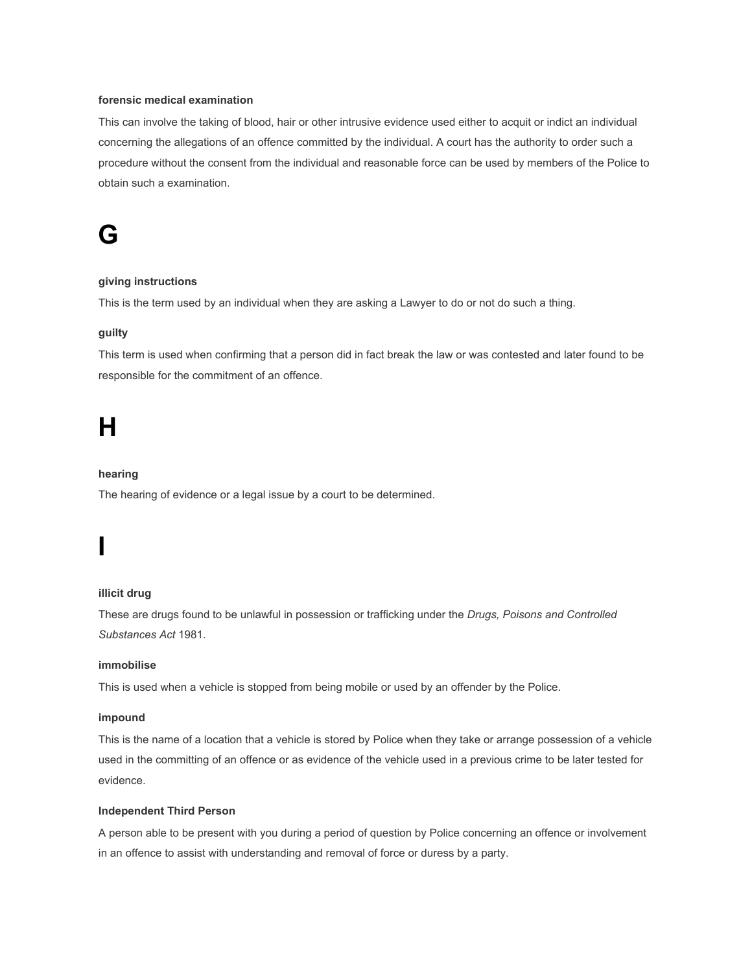#### **forensic medical examination**

This can involve the taking of blood, hair or other intrusive evidence used either to acquit or indict an individual concerning the allegations of an offence committed by the individual. A court has the authority to order such a procedure without the consent from the individual and reasonable force can be used by members of the Police to obtain such a examination.

### **G**

#### **giving instructions**

This is the term used by an individual when they are asking a Lawyer to do or not do such a thing.

#### **guilty**

This term is used when confirming that a person did in fact break the law or was contested and later found to be responsible for the commitment of an offence.

## **H**

**I**

#### **hearing**

The hearing of evidence or a legal issue by a court to be determined.

#### **illicit drug**

These are drugs found to be unlawful in possession or trafficking under the *Drugs, Poisons and Controlled Substances Act* 1981.

#### **immobilise**

This is used when a vehicle is stopped from being mobile or used by an offender by the Police.

#### **impound**

This is the name of a location that a vehicle is stored by Police when they take or arrange possession of a vehicle used in the committing of an offence or as evidence of the vehicle used in a previous crime to be later tested for evidence.

#### **Independent Third Person**

A person able to be present with you during a period of question by Police concerning an offence or involvement in an offence to assist with understanding and removal of force or duress by a party.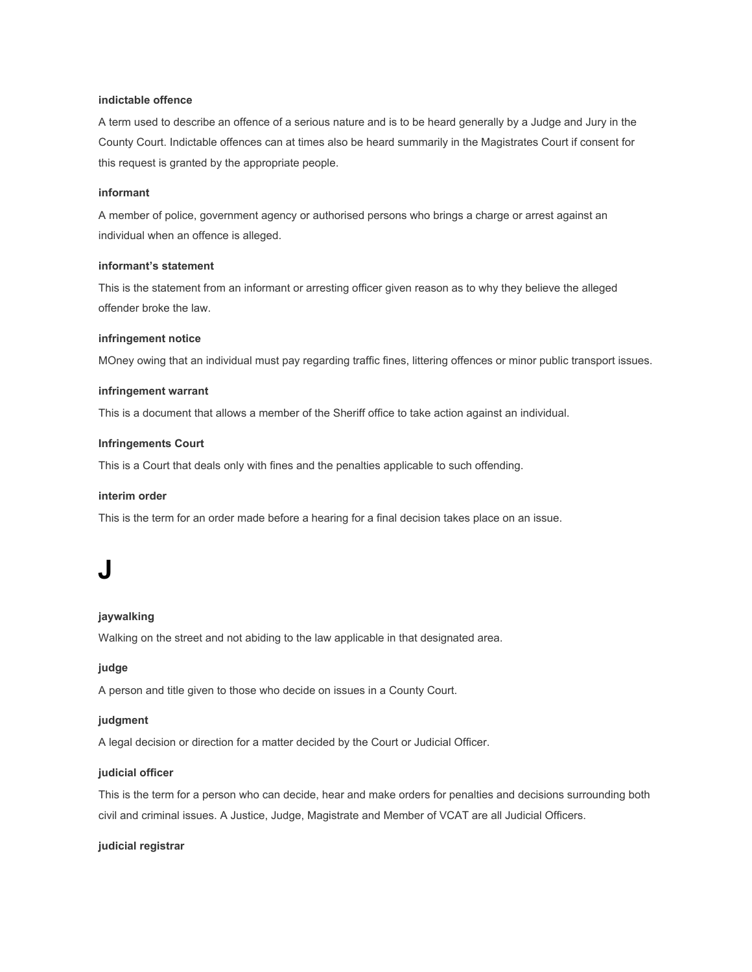#### **indictable offence**

A term used to describe an offence of a serious nature and is to be heard generally by a Judge and Jury in the County Court. Indictable offences can at times also be heard summarily in the Magistrates Court if consent for this request is granted by the appropriate people.

#### **informant**

A member of police, government agency or authorised persons who brings a charge or arrest against an individual when an offence is alleged.

#### **informant's statement**

This is the statement from an informant or arresting officer given reason as to why they believe the alleged offender broke the law.

#### **infringement notice**

MOney owing that an individual must pay regarding traffic fines, littering offences or minor public transport issues.

#### **infringement warrant**

This is a document that allows a member of the Sheriff office to take action against an individual.

#### **Infringements Court**

This is a Court that deals only with fines and the penalties applicable to such offending.

#### **interim order**

This is the term for an order made before a hearing for a final decision takes place on an issue.

### **J**

#### **jaywalking**

Walking on the street and not abiding to the law applicable in that designated area.

#### **judge**

A person and title given to those who decide on issues in a County Court.

#### **judgment**

A legal decision or direction for a matter decided by the Court or Judicial Officer.

#### **judicial officer**

This is the term for a person who can decide, hear and make orders for penalties and decisions surrounding both civil and criminal issues. A Justice, Judge, Magistrate and Member of VCAT are all Judicial Officers.

#### **judicial registrar**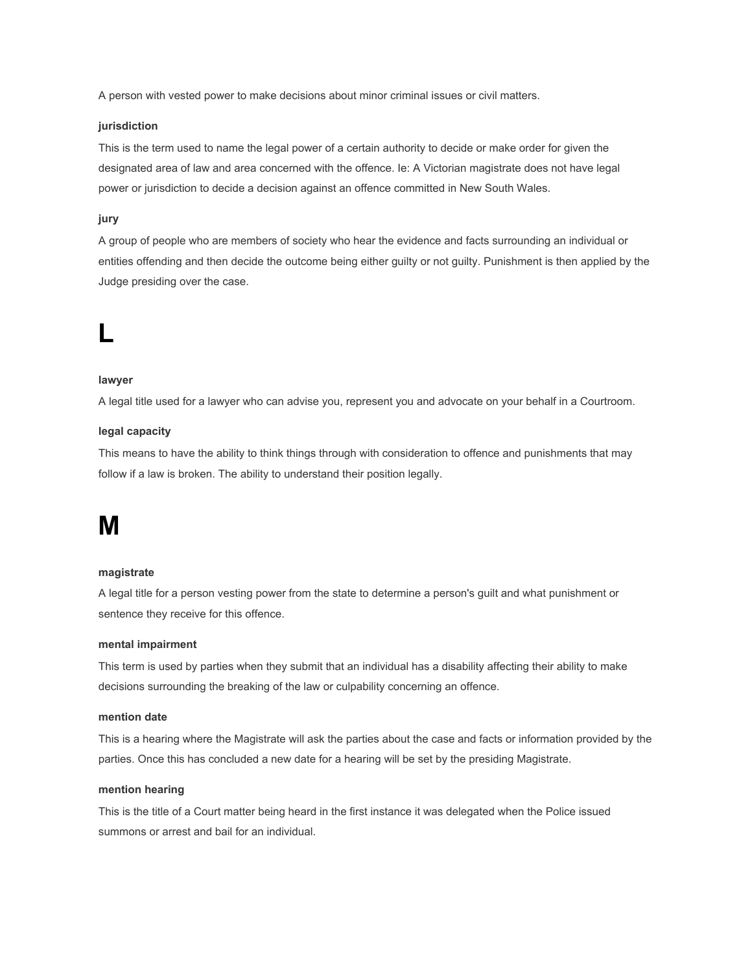A person with vested power to make decisions about minor criminal issues or civil matters.

#### **jurisdiction**

This is the term used to name the legal power of a certain authority to decide or make order for given the designated area of law and area concerned with the offence. Ie: A Victorian magistrate does not have legal power or jurisdiction to decide a decision against an offence committed in New South Wales.

#### **jury**

A group of people who are members of society who hear the evidence and facts surrounding an individual or entities offending and then decide the outcome being either guilty or not guilty. Punishment is then applied by the Judge presiding over the case.

### **L**

#### **lawyer**

A legal title used for a lawyer who can advise you, represent you and advocate on your behalf in a Courtroom.

#### **legal capacity**

This means to have the ability to think things through with consideration to offence and punishments that may follow if a law is broken. The ability to understand their position legally.

### **M**

#### **magistrate**

A legal title for a person vesting power from the state to determine a person's guilt and what punishment or sentence they receive for this offence.

#### **mental impairment**

This term is used by parties when they submit that an individual has a disability affecting their ability to make decisions surrounding the breaking of the law or culpability concerning an offence.

#### **mention date**

This is a hearing where the Magistrate will ask the parties about the case and facts or information provided by the parties. Once this has concluded a new date for a hearing will be set by the presiding Magistrate.

#### **mention hearing**

This is the title of a Court matter being heard in the first instance it was delegated when the Police issued summons or arrest and bail for an individual.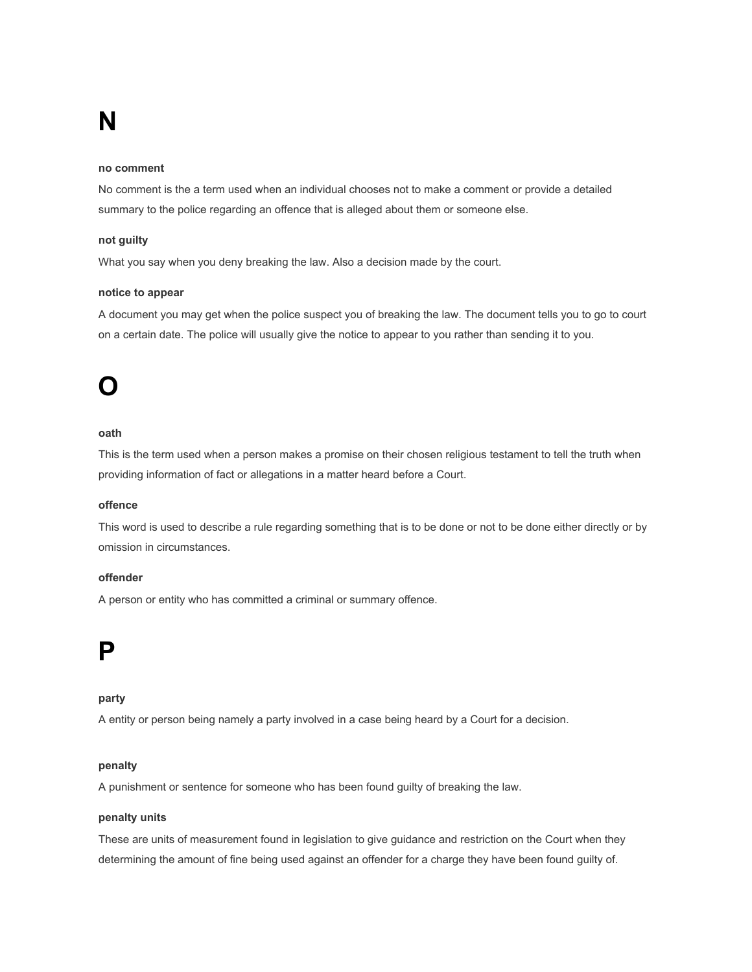## **N**

#### **no comment**

No comment is the a term used when an individual chooses not to make a comment or provide a detailed summary to the police regarding an offence that is alleged about them or someone else.

#### **not guilty**

What you say when you deny breaking the law. Also a decision made by the court.

#### **notice to appear**

A document you may get when the police suspect you of breaking the law. The document tells you to go to court on a certain date. The police will usually give the notice to appear to you rather than sending it to you.

### **O**

#### **oath**

This is the term used when a person makes a promise on their chosen religious testament to tell the truth when providing information of fact or allegations in a matter heard before a Court.

#### **offence**

This word is used to describe a rule regarding something that is to be done or not to be done either directly or by omission in circumstances.

#### **offender**

A person or entity who has committed a criminal or summary offence.

### **P**

#### **party**

A entity or person being namely a party involved in a case being heard by a Court for a decision.

#### **penalty**

A punishment or sentence for someone who has been found guilty of breaking the law.

#### **penalty units**

These are units of measurement found in legislation to give guidance and restriction on the Court when they determining the amount of fine being used against an offender for a charge they have been found guilty of.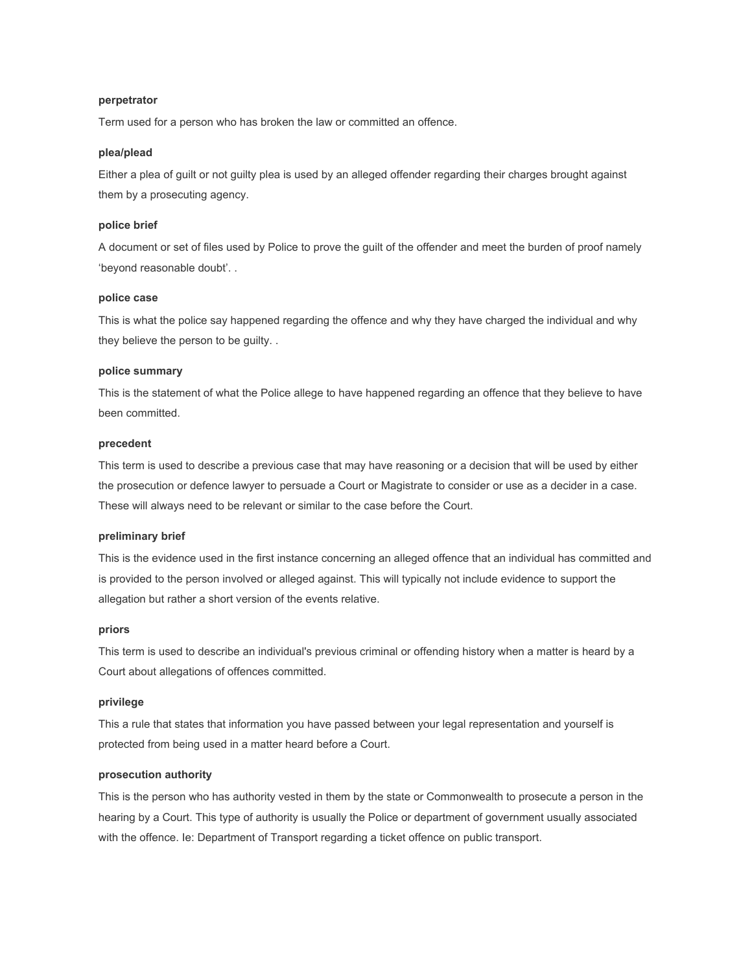#### **perpetrator**

Term used for a person who has broken the law or committed an offence.

#### **plea/plead**

Either a plea of guilt or not guilty plea is used by an alleged offender regarding their charges brought against them by a prosecuting agency.

#### **police brief**

A document or set of files used by Police to prove the guilt of the offender and meet the burden of proof namely 'beyond reasonable doubt'. .

#### **police case**

This is what the police say happened regarding the offence and why they have charged the individual and why they believe the person to be guilty. .

#### **police summary**

This is the statement of what the Police allege to have happened regarding an offence that they believe to have been committed.

#### **precedent**

This term is used to describe a previous case that may have reasoning or a decision that will be used by either the prosecution or defence lawyer to persuade a Court or Magistrate to consider or use as a decider in a case. These will always need to be relevant or similar to the case before the Court.

#### **preliminary brief**

This is the evidence used in the first instance concerning an alleged offence that an individual has committed and is provided to the person involved or alleged against. This will typically not include evidence to support the allegation but rather a short version of the events relative.

#### **priors**

This term is used to describe an individual's previous criminal or offending history when a matter is heard by a Court about allegations of offences committed.

#### **privilege**

This a rule that states that information you have passed between your legal representation and yourself is protected from being used in a matter heard before a Court.

#### **prosecution authority**

This is the person who has authority vested in them by the state or Commonwealth to prosecute a person in the hearing by a Court. This type of authority is usually the Police or department of government usually associated with the offence. Ie: Department of Transport regarding a ticket offence on public transport.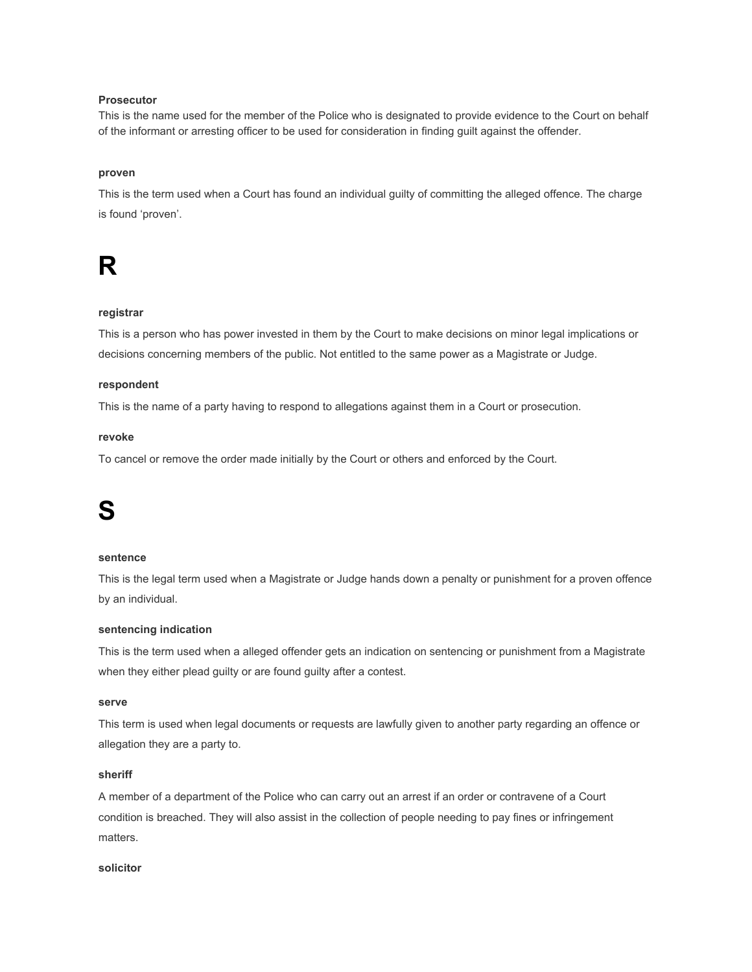#### **Prosecutor**

This is the name used for the member of the Police who is designated to provide evidence to the Court on behalf of the informant or arresting officer to be used for consideration in finding guilt against the offender.

#### **proven**

This is the term used when a Court has found an individual guilty of committing the alleged offence. The charge is found 'proven'.

## **R**

#### **registrar**

This is a person who has power invested in them by the Court to make decisions on minor legal implications or decisions concerning members of the public. Not entitled to the same power as a Magistrate or Judge.

#### **respondent**

This is the name of a party having to respond to allegations against them in a Court or prosecution.

#### **revoke**

To cancel or remove the order made initially by the Court or others and enforced by the Court.

## **S**

#### **sentence**

This is the legal term used when a Magistrate or Judge hands down a penalty or punishment for a proven offence by an individual.

#### **sentencing indication**

This is the term used when a alleged offender gets an indication on sentencing or punishment from a Magistrate when they either plead guilty or are found guilty after a contest.

#### **serve**

This term is used when legal documents or requests are lawfully given to another party regarding an offence or allegation they are a party to.

#### **sheriff**

A member of a department of the Police who can carry out an arrest if an order or contravene of a Court condition is breached. They will also assist in the collection of people needing to pay fines or infringement matters.

#### **solicitor**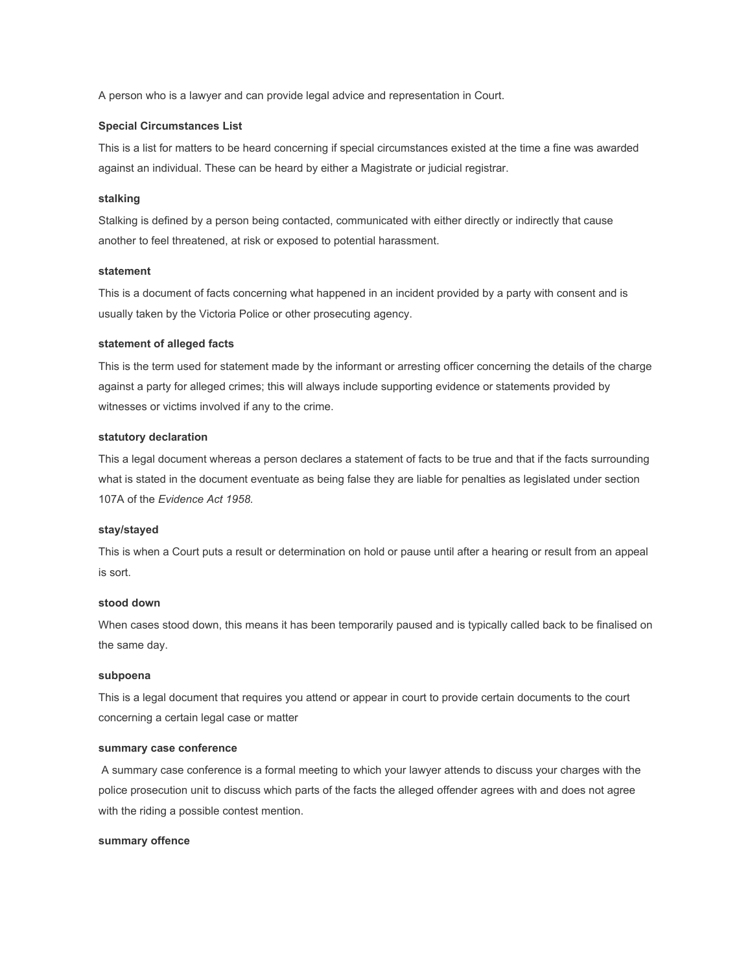A person who is a lawyer and can provide legal advice and representation in Court.

#### **Special Circumstances List**

This is a list for matters to be heard concerning if special circumstances existed at the time a fine was awarded against an individual. These can be heard by either a Magistrate or judicial registrar.

#### **stalking**

Stalking is defined by a person being contacted, communicated with either directly or indirectly that cause another to feel threatened, at risk or exposed to potential harassment.

#### **statement**

This is a document of facts concerning what happened in an incident provided by a party with consent and is usually taken by the Victoria Police or other prosecuting agency.

#### **statement of alleged facts**

This is the term used for statement made by the informant or arresting officer concerning the details of the charge against a party for alleged crimes; this will always include supporting evidence or statements provided by witnesses or victims involved if any to the crime.

#### **statutory declaration**

This a legal document whereas a person declares a statement of facts to be true and that if the facts surrounding what is stated in the document eventuate as being false they are liable for penalties as legislated under section 107A of the *Evidence Act 1958.*

#### **stay/stayed**

This is when a Court puts a result or determination on hold or pause until after a hearing or result from an appeal is sort.

#### **stood down**

When cases stood down, this means it has been temporarily paused and is typically called back to be finalised on the same day.

#### **subpoena**

This is a legal document that requires you attend or appear in court to provide certain documents to the court concerning a certain legal case or matter

#### **summary case conference**

 A summary case conference is a formal meeting to which your lawyer attends to discuss your charges with the police prosecution unit to discuss which parts of the facts the alleged offender agrees with and does not agree with the riding a possible contest mention.

#### **summary offence**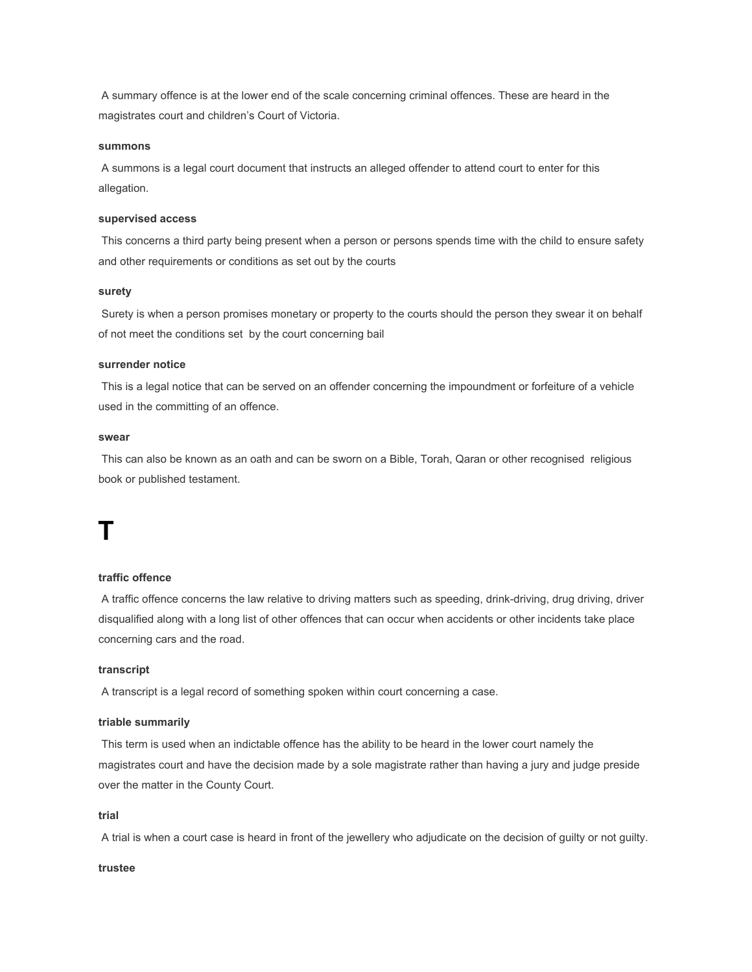A summary offence is at the lower end of the scale concerning criminal offences. These are heard in the magistrates court and children's Court of Victoria.

#### **summons**

 A summons is a legal court document that instructs an alleged offender to attend court to enter for this allegation.

#### **supervised access**

 This concerns a third party being present when a person or persons spends time with the child to ensure safety and other requirements or conditions as set out by the courts

#### **surety**

 Surety is when a person promises monetary or property to the courts should the person they swear it on behalf of not meet the conditions set by the court concerning bail

#### **surrender notice**

 This is a legal notice that can be served on an offender concerning the impoundment or forfeiture of a vehicle used in the committing of an offence.

#### **swear**

 This can also be known as an oath and can be sworn on a Bible, Torah, Qaran or other recognised religious book or published testament.

## **T**

#### **traffic offence**

 A traffic offence concerns the law relative to driving matters such as speeding, drink-driving, drug driving, driver disqualified along with a long list of other offences that can occur when accidents or other incidents take place concerning cars and the road.

#### **transcript**

A transcript is a legal record of something spoken within court concerning a case.

#### **triable summarily**

 This term is used when an indictable offence has the ability to be heard in the lower court namely the magistrates court and have the decision made by a sole magistrate rather than having a jury and judge preside over the matter in the County Court.

#### **trial**

A trial is when a court case is heard in front of the jewellery who adjudicate on the decision of guilty or not guilty.

#### **trustee**